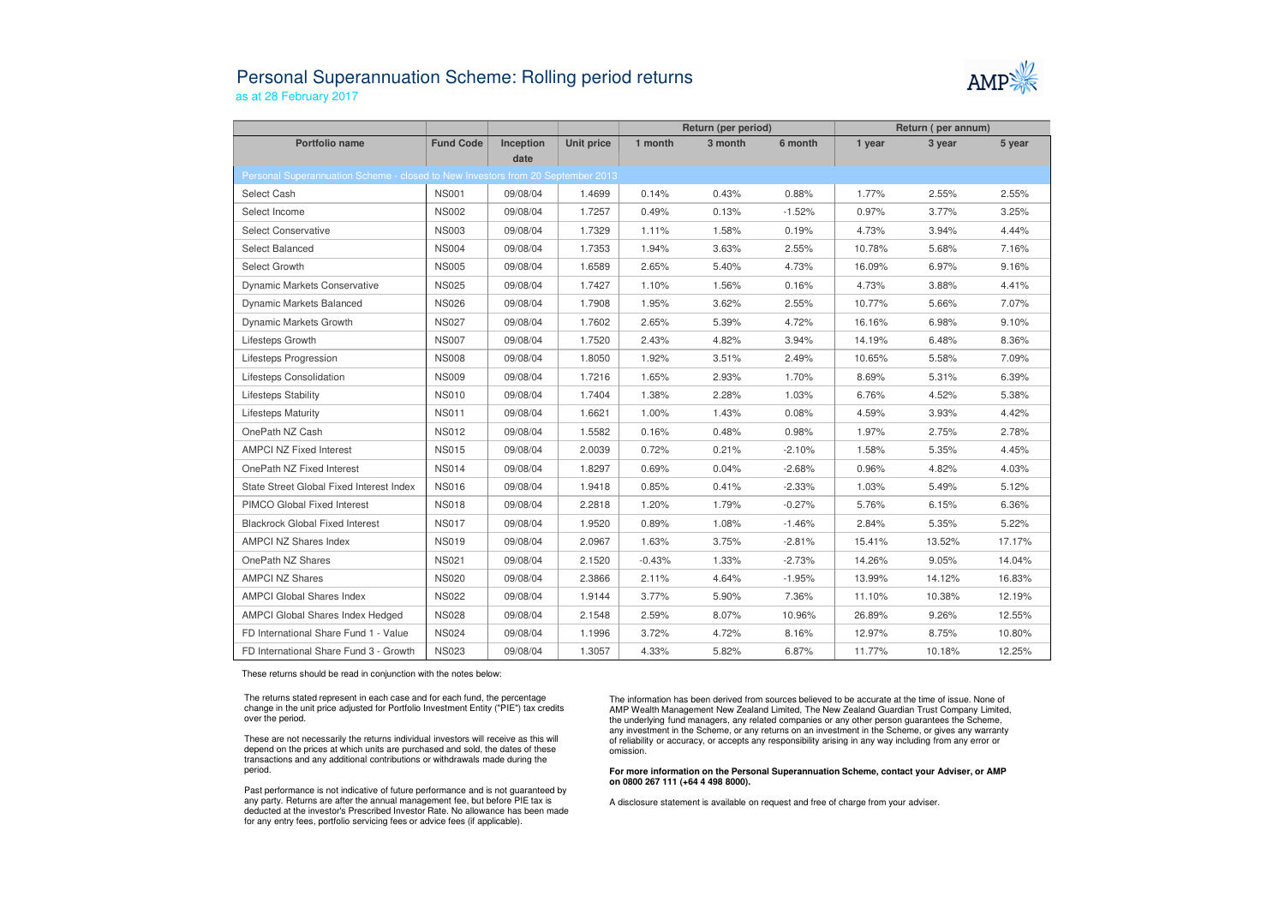## Personal Superannuation Scheme: Rolling period returnsas at 28 February 2017



|                                                                                 |                  |           |            | Return (per period) |         |          | Return (per annum) |        |        |  |  |  |  |
|---------------------------------------------------------------------------------|------------------|-----------|------------|---------------------|---------|----------|--------------------|--------|--------|--|--|--|--|
| Portfolio name                                                                  | <b>Fund Code</b> | Inception | Unit price | 1 month             | 3 month | 6 month  | 1 year             | 3 year | 5 year |  |  |  |  |
| date                                                                            |                  |           |            |                     |         |          |                    |        |        |  |  |  |  |
| Personal Superannuation Scheme - closed to New Investors from 20 September 2013 |                  |           |            |                     |         |          |                    |        |        |  |  |  |  |
| Select Cash                                                                     | <b>NS001</b>     | 09/08/04  | 1.4699     | 0.14%               | 0.43%   | 0.88%    | 1.77%              | 2.55%  | 2.55%  |  |  |  |  |
| Select Income                                                                   | <b>NS002</b>     | 09/08/04  | 1.7257     | 0.49%               | 0.13%   | $-1.52%$ | 0.97%              | 3.77%  | 3.25%  |  |  |  |  |
| <b>Select Conservative</b>                                                      | <b>NS003</b>     | 09/08/04  | 1.7329     | 1.11%               | 1.58%   | 0.19%    | 4.73%              | 3.94%  | 4.44%  |  |  |  |  |
| Select Balanced                                                                 | <b>NS004</b>     | 09/08/04  | 1.7353     | 1.94%               | 3.63%   | 2.55%    | 10.78%             | 5.68%  | 7.16%  |  |  |  |  |
| Select Growth                                                                   | <b>NS005</b>     | 09/08/04  | 1.6589     | 2.65%               | 5.40%   | 4.73%    | 16.09%             | 6.97%  | 9.16%  |  |  |  |  |
| <b>Dynamic Markets Conservative</b>                                             | <b>NS025</b>     | 09/08/04  | 1.7427     | 1.10%               | 1.56%   | 0.16%    | 4.73%              | 3.88%  | 4.41%  |  |  |  |  |
| <b>Dynamic Markets Balanced</b>                                                 | <b>NS026</b>     | 09/08/04  | 1.7908     | 1.95%               | 3.62%   | 2.55%    | 10.77%             | 5.66%  | 7.07%  |  |  |  |  |
| Dynamic Markets Growth                                                          | <b>NS027</b>     | 09/08/04  | 1.7602     | 2.65%               | 5.39%   | 4.72%    | 16.16%             | 6.98%  | 9.10%  |  |  |  |  |
| Lifesteps Growth                                                                | <b>NS007</b>     | 09/08/04  | 1.7520     | 2.43%               | 4.82%   | 3.94%    | 14.19%             | 6.48%  | 8.36%  |  |  |  |  |
| Lifesteps Progression                                                           | <b>NS008</b>     | 09/08/04  | 1.8050     | 1.92%               | 3.51%   | 2.49%    | 10.65%             | 5.58%  | 7.09%  |  |  |  |  |
| Lifesteps Consolidation                                                         | <b>NS009</b>     | 09/08/04  | 1.7216     | 1.65%               | 2.93%   | 1.70%    | 8.69%              | 5.31%  | 6.39%  |  |  |  |  |
| Lifesteps Stability                                                             | <b>NS010</b>     | 09/08/04  | 1.7404     | 1.38%               | 2.28%   | 1.03%    | 6.76%              | 4.52%  | 5.38%  |  |  |  |  |
| <b>Lifesteps Maturity</b>                                                       | <b>NS011</b>     | 09/08/04  | 1.6621     | 1.00%               | 1.43%   | 0.08%    | 4.59%              | 3.93%  | 4.42%  |  |  |  |  |
| OnePath NZ Cash                                                                 | <b>NS012</b>     | 09/08/04  | 1.5582     | 0.16%               | 0.48%   | 0.98%    | 1.97%              | 2.75%  | 2.78%  |  |  |  |  |
| <b>AMPCI NZ Fixed Interest</b>                                                  | <b>NS015</b>     | 09/08/04  | 2.0039     | 0.72%               | 0.21%   | $-2.10%$ | 1.58%              | 5.35%  | 4.45%  |  |  |  |  |
| OnePath NZ Fixed Interest                                                       | <b>NS014</b>     | 09/08/04  | 1.8297     | 0.69%               | 0.04%   | $-2.68%$ | 0.96%              | 4.82%  | 4.03%  |  |  |  |  |
| State Street Global Fixed Interest Index                                        | <b>NS016</b>     | 09/08/04  | 1.9418     | 0.85%               | 0.41%   | $-2.33%$ | 1.03%              | 5.49%  | 5.12%  |  |  |  |  |
| PIMCO Global Fixed Interest                                                     | <b>NS018</b>     | 09/08/04  | 2.2818     | 1.20%               | 1.79%   | $-0.27%$ | 5.76%              | 6.15%  | 6.36%  |  |  |  |  |
| <b>Blackrock Global Fixed Interest</b>                                          | <b>NS017</b>     | 09/08/04  | 1.9520     | 0.89%               | 1.08%   | $-1.46%$ | 2.84%              | 5.35%  | 5.22%  |  |  |  |  |
| <b>AMPCI NZ Shares Index</b>                                                    | <b>NS019</b>     | 09/08/04  | 2.0967     | 1.63%               | 3.75%   | $-2.81%$ | 15.41%             | 13.52% | 17.17% |  |  |  |  |
| OnePath NZ Shares                                                               | <b>NS021</b>     | 09/08/04  | 2.1520     | $-0.43%$            | 1.33%   | $-2.73%$ | 14.26%             | 9.05%  | 14.04% |  |  |  |  |
| <b>AMPCI NZ Shares</b>                                                          | <b>NS020</b>     | 09/08/04  | 2.3866     | 2.11%               | 4.64%   | $-1.95%$ | 13.99%             | 14.12% | 16.83% |  |  |  |  |
| <b>AMPCI Global Shares Index</b>                                                | <b>NS022</b>     | 09/08/04  | 1.9144     | 3.77%               | 5.90%   | 7.36%    | 11.10%             | 10.38% | 12.19% |  |  |  |  |
| AMPCI Global Shares Index Hedged                                                | <b>NS028</b>     | 09/08/04  | 2.1548     | 2.59%               | 8.07%   | 10.96%   | 26.89%             | 9.26%  | 12.55% |  |  |  |  |
| FD International Share Fund 1 - Value                                           | <b>NS024</b>     | 09/08/04  | 1.1996     | 3.72%               | 4.72%   | 8.16%    | 12.97%             | 8.75%  | 10.80% |  |  |  |  |
| FD International Share Fund 3 - Growth                                          | <b>NS023</b>     | 09/08/04  | 1.3057     | 4.33%               | 5.82%   | 6.87%    | 11.77%             | 10.18% | 12.25% |  |  |  |  |

These returns should be read in conjunction with the notes below:

The returns stated represent in each case and for each fund, the percentage change in the unit price adjusted for Portfolio Investment Entity ("PIE") tax credits over the period.

These are not necessarily the returns individual investors will receive as this will depend on the prices at which units are purchased and sold, the dates of these transactions and any additional contributions or withdrawals made during the period.

Past performance is not indicative of future performance and is not guaranteed by any party. Returns are after the annual management fee, but before PIE tax is deducted at the investor's Prescribed Investor Rate. No allowance has been made for any entry fees, portfolio servicing fees or advice fees (if applicable).

The information has been derived from sources believed to be accurate at the time of issue. None of AMP Wealth Management New Zealand Limited, The New Zealand Guardian Trust Company Limited, the underlying fund managers, any related companies or any other person guarantees the Scheme, any investment in the Scheme, or any returns on an investment in the Scheme, or gives any warranty of reliability or accuracy, or accepts any responsibility arising in any way including from any error or omission.

**For more information on the Personal Superannuation Scheme, contact your Adviser, or AMP on 0800 267 111 (+64 4 498 8000).**

A disclosure statement is available on request and free of charge from your adviser.